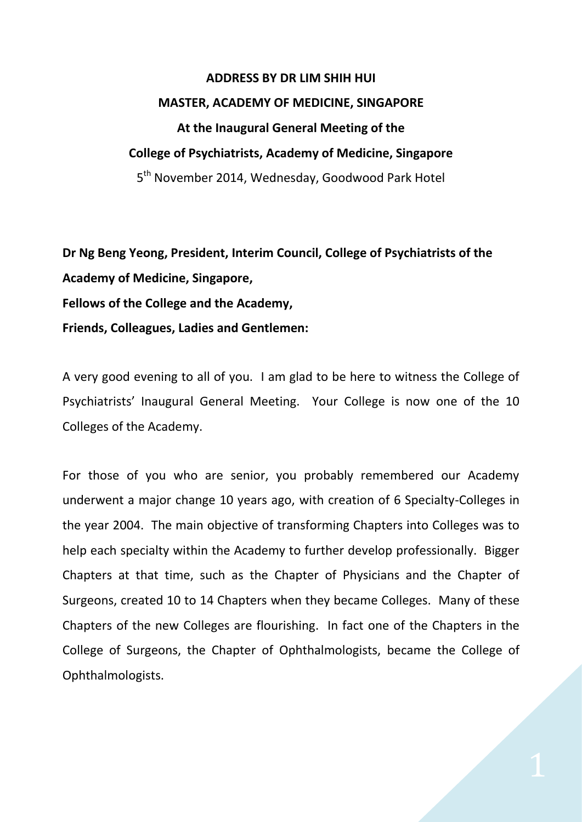## **ADDRESS BY DR LIM SHIH HUI MASTER, ACADEMY OF MEDICINE, SINGAPORE At the Inaugural General Meeting of the College of Psychiatrists, Academy of Medicine, Singapore** 5<sup>th</sup> November 2014, Wednesday, Goodwood Park Hotel

**Dr Ng Beng Yeong, President, Interim Council, College of Psychiatrists of the Academy of Medicine, Singapore, Fellows of the College and the Academy, Friends, Colleagues, Ladies and Gentlemen:**

A very good evening to all of you. I am glad to be here to witness the College of Psychiatrists' Inaugural General Meeting. Your College is now one of the 10 Colleges of the Academy.

For those of you who are senior, you probably remembered our Academy underwent a major change 10 years ago, with creation of 6 Specialty-Colleges in the year 2004. The main objective of transforming Chapters into Colleges was to help each specialty within the Academy to further develop professionally. Bigger Chapters at that time, such as the Chapter of Physicians and the Chapter of Surgeons, created 10 to 14 Chapters when they became Colleges. Many of these Chapters of the new Colleges are flourishing. In fact one of the Chapters in the College of Surgeons, the Chapter of Ophthalmologists, became the College of Ophthalmologists.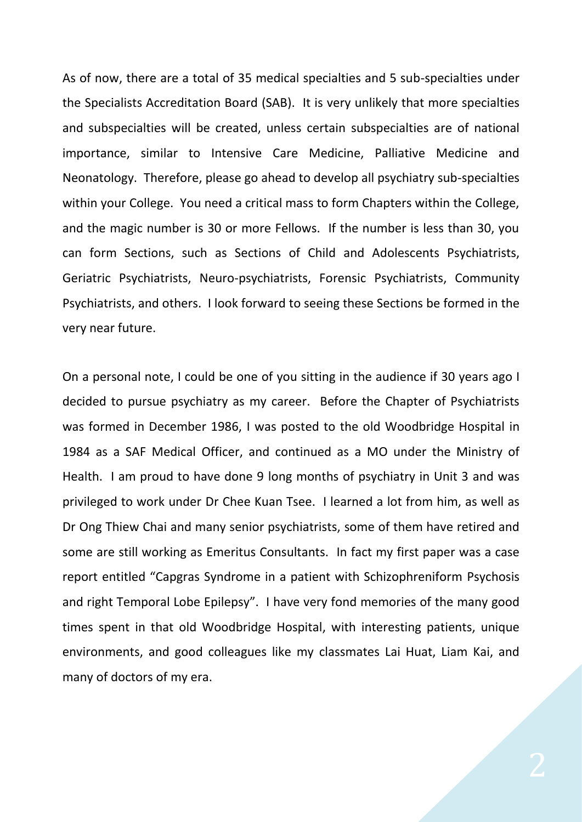As of now, there are a total of 35 medical specialties and 5 sub-specialties under the Specialists Accreditation Board (SAB). It is very unlikely that more specialties and subspecialties will be created, unless certain subspecialties are of national importance, similar to Intensive Care Medicine, Palliative Medicine and Neonatology. Therefore, please go ahead to develop all psychiatry sub-specialties within your College. You need a critical mass to form Chapters within the College, and the magic number is 30 or more Fellows. If the number is less than 30, you can form Sections, such as Sections of Child and Adolescents Psychiatrists, Geriatric Psychiatrists, Neuro-psychiatrists, Forensic Psychiatrists, Community Psychiatrists, and others. I look forward to seeing these Sections be formed in the very near future.

On a personal note, I could be one of you sitting in the audience if 30 years ago I decided to pursue psychiatry as my career. Before the Chapter of Psychiatrists was formed in December 1986, I was posted to the old Woodbridge Hospital in 1984 as a SAF Medical Officer, and continued as a MO under the Ministry of Health. I am proud to have done 9 long months of psychiatry in Unit 3 and was privileged to work under Dr Chee Kuan Tsee. I learned a lot from him, as well as Dr Ong Thiew Chai and many senior psychiatrists, some of them have retired and some are still working as Emeritus Consultants. In fact my first paper was a case report entitled "Capgras Syndrome in a patient with Schizophreniform Psychosis and right Temporal Lobe Epilepsy". I have very fond memories of the many good times spent in that old Woodbridge Hospital, with interesting patients, unique environments, and good colleagues like my classmates Lai Huat, Liam Kai, and many of doctors of my era.